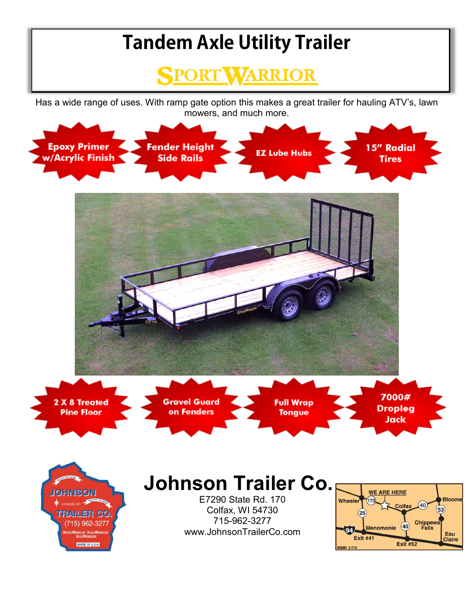## **Tandem Axle Utility Trailer**



Has a wide range of uses. With ramp gate option this makes a great trailer for hauling ATV's, lawn mowers, and much more.



MADE IN U.S.A.

**Claire** 

**Exit #52** 

633461 5-7-11